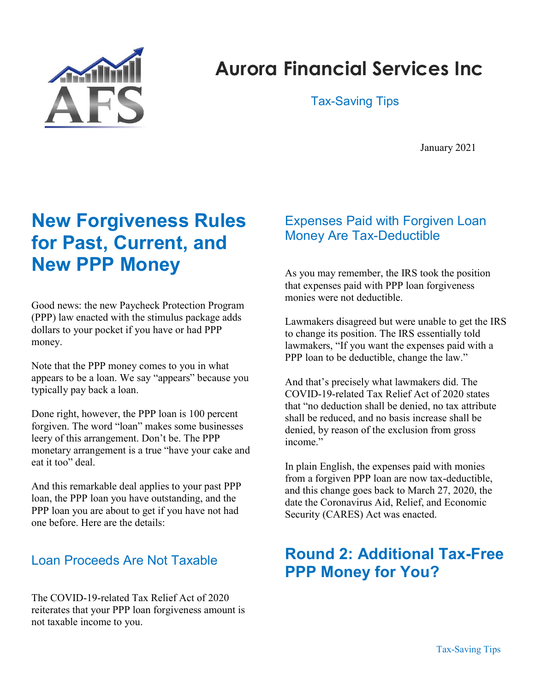

# Aurora Financial Services Inc

Tax-Saving Tips

January 2021

## New Forgiveness Rules for Past, Current, and New PPP Money

Good news: the new Paycheck Protection Program (PPP) law enacted with the stimulus package adds dollars to your pocket if you have or had PPP money.

Note that the PPP money comes to you in what appears to be a loan. We say "appears" because you typically pay back a loan.

Done right, however, the PPP loan is 100 percent forgiven. The word "loan" makes some businesses leery of this arrangement. Don't be. The PPP monetary arrangement is a true "have your cake and eat it too" deal.

And this remarkable deal applies to your past PPP loan, the PPP loan you have outstanding, and the PPP loan you are about to get if you have not had one before. Here are the details:

#### Loan Proceeds Are Not Taxable

The COVID-19-related Tax Relief Act of 2020 reiterates that your PPP loan forgiveness amount is not taxable income to you.

#### Expenses Paid with Forgiven Loan Money Are Tax-Deductible

As you may remember, the IRS took the position that expenses paid with PPP loan forgiveness monies were not deductible.

Lawmakers disagreed but were unable to get the IRS to change its position. The IRS essentially told lawmakers, "If you want the expenses paid with a PPP loan to be deductible, change the law."

And that's precisely what lawmakers did. The COVID-19-related Tax Relief Act of 2020 states that "no deduction shall be denied, no tax attribute shall be reduced, and no basis increase shall be denied, by reason of the exclusion from gross income."

In plain English, the expenses paid with monies from a forgiven PPP loan are now tax-deductible, and this change goes back to March 27, 2020, the date the Coronavirus Aid, Relief, and Economic Security (CARES) Act was enacted.

## Round 2: Additional Tax-Free PPP Money for You?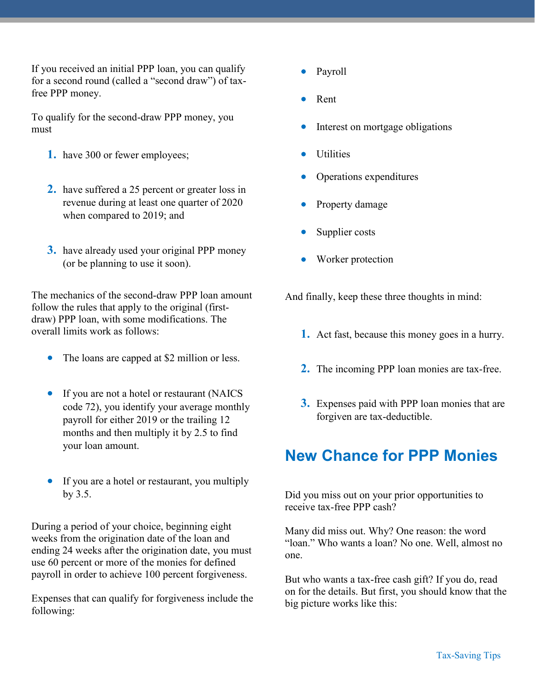If you received an initial PPP loan, you can qualify for a second round (called a "second draw") of taxfree PPP money.

To qualify for the second-draw PPP money, you must

- 1. have 300 or fewer employees;
- 2. have suffered a 25 percent or greater loss in revenue during at least one quarter of 2020 when compared to 2019; and
- 3. have already used your original PPP money (or be planning to use it soon).

The mechanics of the second-draw PPP loan amount follow the rules that apply to the original (firstdraw) PPP loan, with some modifications. The overall limits work as follows:

- The loans are capped at \$2 million or less.
- If you are not a hotel or restaurant (NAICS code 72), you identify your average monthly payroll for either 2019 or the trailing 12 months and then multiply it by 2.5 to find your loan amount.
- If you are a hotel or restaurant, you multiply by 3.5.

During a period of your choice, beginning eight weeks from the origination date of the loan and ending 24 weeks after the origination date, you must use 60 percent or more of the monies for defined payroll in order to achieve 100 percent forgiveness.

Expenses that can qualify for forgiveness include the following:

- Payroll
- Rent
- Interest on mortgage obligations
- **Utilities**
- Operations expenditures
- Property damage
- Supplier costs
- Worker protection

And finally, keep these three thoughts in mind:

- 1. Act fast, because this money goes in a hurry.
- 2. The incoming PPP loan monies are tax-free.
- 3. Expenses paid with PPP loan monies that are forgiven are tax-deductible.

## New Chance for PPP Monies

Did you miss out on your prior opportunities to receive tax-free PPP cash?

Many did miss out. Why? One reason: the word "loan." Who wants a loan? No one. Well, almost no one.

But who wants a tax-free cash gift? If you do, read on for the details. But first, you should know that the big picture works like this: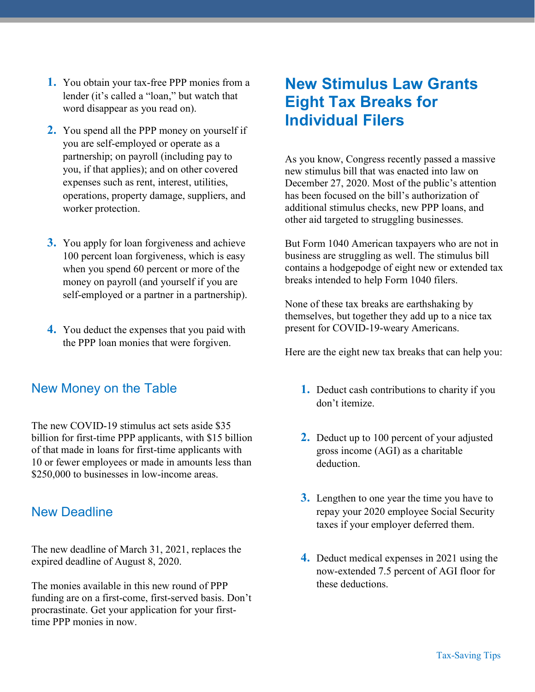- 1. You obtain your tax-free PPP monies from a lender (it's called a "loan," but watch that word disappear as you read on).
- 2. You spend all the PPP money on yourself if you are self-employed or operate as a partnership; on payroll (including pay to you, if that applies); and on other covered expenses such as rent, interest, utilities, operations, property damage, suppliers, and worker protection.
- 3. You apply for loan forgiveness and achieve 100 percent loan forgiveness, which is easy when you spend 60 percent or more of the money on payroll (and yourself if you are self-employed or a partner in a partnership).
- 4. You deduct the expenses that you paid with the PPP loan monies that were forgiven.

#### New Money on the Table

The new COVID-19 stimulus act sets aside \$35 billion for first-time PPP applicants, with \$15 billion of that made in loans for first-time applicants with 10 or fewer employees or made in amounts less than \$250,000 to businesses in low-income areas.

#### New Deadline

The new deadline of March 31, 2021, replaces the expired deadline of August 8, 2020.

The monies available in this new round of PPP funding are on a first-come, first-served basis. Don't procrastinate. Get your application for your firsttime PPP monies in now.

## New Stimulus Law Grants Eight Tax Breaks for Individual Filers

As you know, Congress recently passed a massive new stimulus bill that was enacted into law on December 27, 2020. Most of the public's attention has been focused on the bill's authorization of additional stimulus checks, new PPP loans, and other aid targeted to struggling businesses.

But Form 1040 American taxpayers who are not in business are struggling as well. The stimulus bill contains a hodgepodge of eight new or extended tax breaks intended to help Form 1040 filers.

None of these tax breaks are earthshaking by themselves, but together they add up to a nice tax present for COVID-19-weary Americans.

Here are the eight new tax breaks that can help you:

- 1. Deduct cash contributions to charity if you don't itemize.
- 2. Deduct up to 100 percent of your adjusted gross income (AGI) as a charitable deduction.
- **3.** Lengthen to one year the time you have to repay your 2020 employee Social Security taxes if your employer deferred them.
- 4. Deduct medical expenses in 2021 using the now-extended 7.5 percent of AGI floor for these deductions.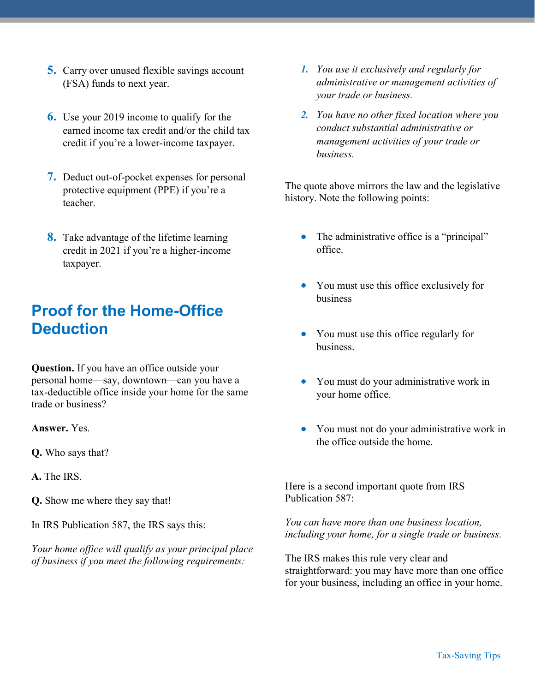- 5. Carry over unused flexible savings account (FSA) funds to next year.
- 6. Use your 2019 income to qualify for the earned income tax credit and/or the child tax credit if you're a lower-income taxpayer.
- 7. Deduct out-of-pocket expenses for personal protective equipment (PPE) if you're a teacher.
- 8. Take advantage of the lifetime learning credit in 2021 if you're a higher-income taxpayer.

### Proof for the Home-Office **Deduction**

Question. If you have an office outside your personal home—say, downtown—can you have a tax-deductible office inside your home for the same trade or business?

Answer. Yes.

Q. Who says that?

A. The IRS.

Q. Show me where they say that!

In IRS Publication 587, the IRS says this:

Your home office will qualify as your principal place of business if you meet the following requirements:

- 1. You use it exclusively and regularly for administrative or management activities of your trade or business.
- 2. You have no other fixed location where you conduct substantial administrative or management activities of your trade or business.

The quote above mirrors the law and the legislative history. Note the following points:

- The administrative office is a "principal" office.
- You must use this office exclusively for business
- You must use this office regularly for business.
- You must do your administrative work in your home office.
- You must not do your administrative work in the office outside the home.

Here is a second important quote from IRS Publication 587:

You can have more than one business location, including your home, for a single trade or business.

The IRS makes this rule very clear and straightforward: you may have more than one office for your business, including an office in your home.